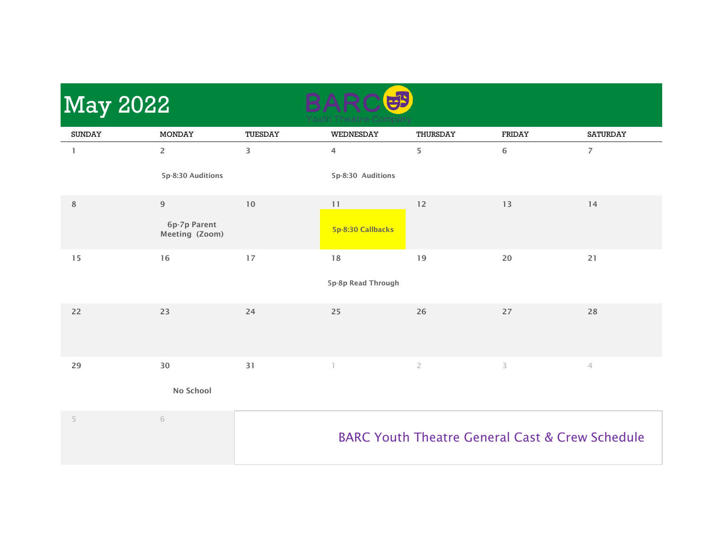| <b>SUNDAY</b><br><b>MONDAY</b><br>TUESDAY<br>WEDNESDAY<br>THURSDAY<br>FRIDAY<br><b>SATURDAY</b><br>$\overline{2}$<br>3<br>5<br>6<br>$\overline{7}$<br>4<br>1<br>5p-8:30 Auditions<br>5p-8:30 Auditions<br>$\,$ 8 $\,$<br>$9$<br>$10$<br>$12$<br>13<br>14<br>11<br>6p-7p Parent<br>5p-8:30 Callbacks<br>Meeting (Zoom)<br>16<br>17<br>18<br>19<br>20<br>$21$<br>15<br>5p-8p Read Through |  |
|-----------------------------------------------------------------------------------------------------------------------------------------------------------------------------------------------------------------------------------------------------------------------------------------------------------------------------------------------------------------------------------------|--|
|                                                                                                                                                                                                                                                                                                                                                                                         |  |
|                                                                                                                                                                                                                                                                                                                                                                                         |  |
|                                                                                                                                                                                                                                                                                                                                                                                         |  |
|                                                                                                                                                                                                                                                                                                                                                                                         |  |
|                                                                                                                                                                                                                                                                                                                                                                                         |  |
|                                                                                                                                                                                                                                                                                                                                                                                         |  |
|                                                                                                                                                                                                                                                                                                                                                                                         |  |
| 23<br>24<br>26<br>27<br>22<br>25<br>28                                                                                                                                                                                                                                                                                                                                                  |  |
| $30\,$<br>31<br>29<br>$\overline{2}$<br>3<br>4                                                                                                                                                                                                                                                                                                                                          |  |
| No School                                                                                                                                                                                                                                                                                                                                                                               |  |
| 5<br>$\sqrt{6}$<br><b>BARC Youth Theatre General Cast &amp; Crew Schedule</b>                                                                                                                                                                                                                                                                                                           |  |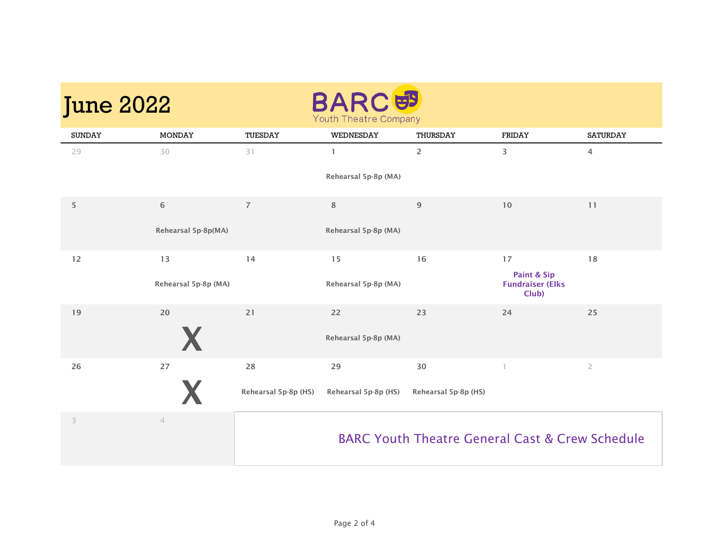| <b>June 2022</b> |                      |                      | <b>BARCEP</b><br>Youth Theatre Company |                                                            |                                  |                 |
|------------------|----------------------|----------------------|----------------------------------------|------------------------------------------------------------|----------------------------------|-----------------|
| <b>SUNDAY</b>    | <b>MONDAY</b>        | TUESDAY              | WEDNESDAY                              | THURSDAY                                                   | FRIDAY                           | <b>SATURDAY</b> |
| 29               | 30                   | 31                   | $\mathbf{1}$                           | $\overline{2}$                                             | 3                                | $\overline{4}$  |
|                  |                      |                      | Rehearsal 5p-8p (MA)                   |                                                            |                                  |                 |
| 5                | 6                    | $\overline{7}$       | 8                                      | 9                                                          | 10                               | 11              |
|                  | Rehearsal 5p-8p(MA)  |                      | Rehearsal 5p-8p (MA)                   |                                                            |                                  |                 |
| 12               | 13                   | 14                   | 15                                     | 16                                                         | 17<br>Paint & Sip                | 18              |
|                  | Rehearsal 5p-8p (MA) |                      | Rehearsal 5p-8p (MA)                   |                                                            | <b>Fundraiser (Elks</b><br>Club) |                 |
| 19               | 20                   | 21                   | 22                                     | 23                                                         | 24                               | 25              |
|                  |                      |                      | Rehearsal 5p-8p (MA)                   |                                                            |                                  |                 |
| 26               | 27                   | 28                   | 29                                     | 30                                                         |                                  | $\overline{2}$  |
|                  |                      | Rehearsal 5p-8p (HS) | Rehearsal 5p-8p (HS)                   | Rehearsal 5p-8p (HS)                                       |                                  |                 |
| 3                | $\overline{4}$       |                      |                                        | <b>BARC Youth Theatre General Cast &amp; Crew Schedule</b> |                                  |                 |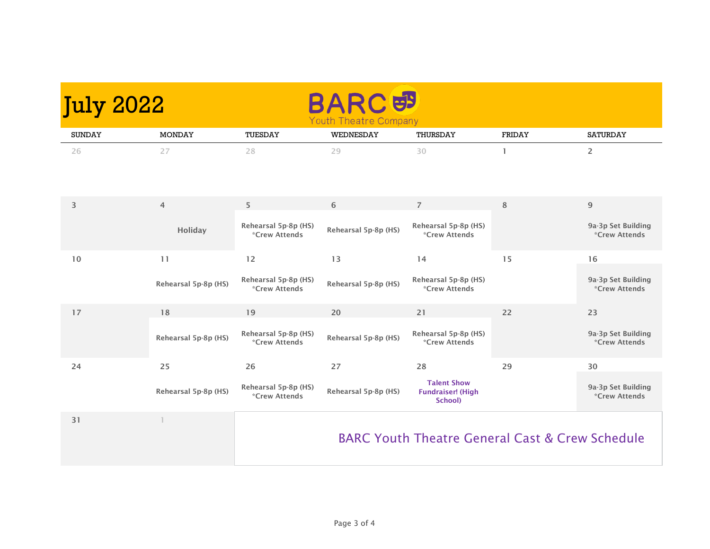| <b>July 2022</b> |                      |                                       | <u>es</u><br><b>Youth Theatre Company</b> |                                                            |              |                                                   |
|------------------|----------------------|---------------------------------------|-------------------------------------------|------------------------------------------------------------|--------------|---------------------------------------------------|
| <b>SUNDAY</b>    | <b>MONDAY</b>        | TUESDAY                               | WEDNESDAY                                 | THURSDAY                                                   | FRIDAY       | <b>SATURDAY</b>                                   |
| 26               | 27                   | 28                                    | 29                                        | 30                                                         | $\mathbf{1}$ | $\overline{2}$                                    |
| 3                | $\overline{4}$       | 5                                     | 6                                         | $\overline{7}$                                             | 8            | 9                                                 |
|                  | Holiday              | Rehearsal 5p-8p (HS)<br>*Crew Attends | Rehearsal 5p-8p (HS)                      | Rehearsal 5p-8p (HS)<br><i><b>*Crew Attends</b></i>        |              | 9a-3p Set Building<br>*Crew Attends               |
| 10               | 11                   | 12                                    | 13                                        | 14                                                         | 15           | 16                                                |
|                  | Rehearsal 5p-8p (HS) | Rehearsal 5p-8p (HS)<br>*Crew Attends | Rehearsal 5p-8p (HS)                      | Rehearsal 5p-8p (HS)<br><i><b>*Crew Attends</b></i>        |              | 9a-3p Set Building<br>*Crew Attends               |
| 17               | 18                   | 19                                    | 20                                        | 21                                                         | 22           | 23                                                |
|                  | Rehearsal 5p-8p (HS) | Rehearsal 5p-8p (HS)<br>*Crew Attends | Rehearsal 5p-8p (HS)                      | Rehearsal 5p-8p (HS)<br><i><b>*Crew Attends</b></i>        |              | 9a-3p Set Building<br><i><b>*Crew Attends</b></i> |
| 24               | 25                   | 26                                    | 27                                        | 28                                                         | 29           | 30                                                |
|                  | Rehearsal 5p-8p (HS) | Rehearsal 5p-8p (HS)<br>*Crew Attends | Rehearsal 5p-8p (HS)                      | <b>Talent Show</b><br><b>Fundraiser!</b> (High<br>School)  |              | 9a-3p Set Building<br><i><b>*Crew Attends</b></i> |
| 31               | $\mathbf{1}$         |                                       |                                           | <b>BARC Youth Theatre General Cast &amp; Crew Schedule</b> |              |                                                   |